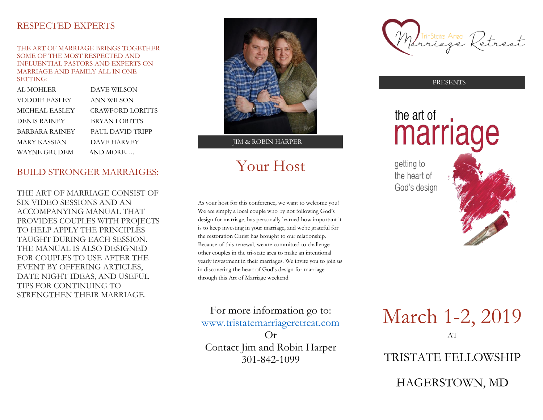#### RESPECTED EXPERTS

THE ART OF MARRIAGE BRINGS TOGETHER SOME OF THE MOST RESPECTED AND INFLUENTIAL PASTORS AND EXPERTS ON MARRIAGE AND FAMILY ALL IN ONE SETTING:

| AL MOHLER             | <b>DAVE WILSON</b>      |
|-----------------------|-------------------------|
| <b>VODDIE EASLEY</b>  | ANN WILSON              |
| <b>MICHEAL EASLEY</b> | <b>CRAWFORD LORITTS</b> |
| DENIS RAINEY          | <b>BRYAN LORITTS</b>    |
| <b>BARBARA RAINEY</b> | PAUL DAVID TRIPP        |
| <b>MARY KASSIAN</b>   | <b>DAVE HARVEY</b>      |
| <b>WAYNE GRUDEM</b>   | AND MORE                |
|                       |                         |

#### BUILD STRONGER MARRAIGES:

THE ART OF MARRIAGE CONSIST OF SIX VIDEO SESSIONS AND AN ACCOMPANYING MANUAL THAT PROVIDES COUPLES WITH PROJECTS TO HELP APPLY THE PRINCIPLES TAUGHT DURING EACH SESSION. THE MANUAL IS ALSO DESIGNED FOR COUPLES TO USE AFTER THE EVENT BY OFFERING ARTICLES, DATE NIGHT IDEAS, AND USEFUL TIPS FOR CONTINUING TO STRENGTHEN THEIR MARRIAGE.



JIM & ROBIN HARPER

# Your Host

As your host for this conference, we want to welcome you! We are simply a local couple who by not following God's design for marriage, has personally learned how important it is to keep investing in your marriage, and we're grateful for the restoration Christ has brought to our relationship. Because of this renewal, we are committed to challenge other couples in the tri-state area to make an intentional yearly investment in their marriages. We invite you to join us in discovering the heart of God's design for marriage through this Art of Marriage weekend

For more information go to: [www.tristatemarriageretreat.com](http://www.tristatemarriageretreat.com/)  $Or$ 

Contact Jim and Robin Harper 301-842-1099

Tri-State Area Retreat

PRESENTS

# the art of marriage

getting to the heart of God's design



March 1-2, 2019 AT

TRISTATE FELLOWSHIP

HAGERSTOWN, MD